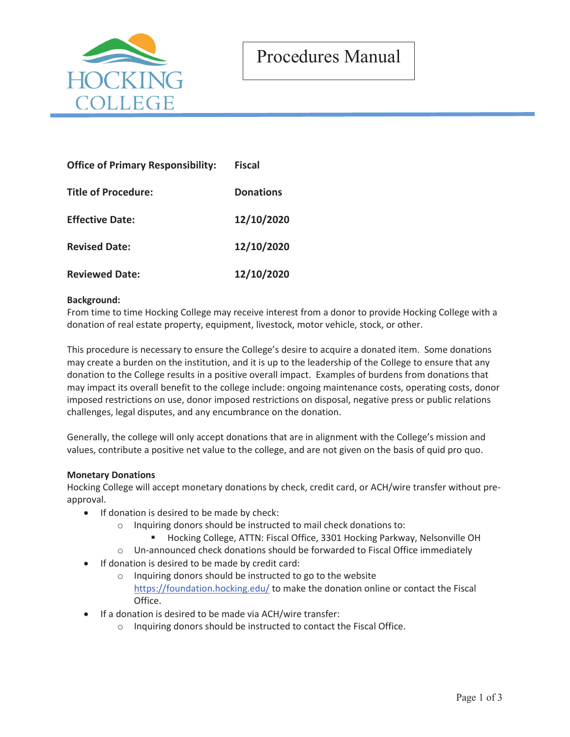



| <b>Office of Primary Responsibility:</b> | <b>Fiscal</b>    |
|------------------------------------------|------------------|
| <b>Title of Procedure:</b>               | <b>Donations</b> |
| <b>Effective Date:</b>                   | 12/10/2020       |
| <b>Revised Date:</b>                     | 12/10/2020       |
| <b>Reviewed Date:</b>                    | 12/10/2020       |

### **Background:**

From time to time Hocking College may receive interest from a donor to provide Hocking College with a donation of real estate property, equipment, livestock, motor vehicle, stock, or other.

This procedure is necessary to ensure the College's desire to acquire a donated item. Some donations may create a burden on the institution, and it is up to the leadership of the College to ensure that any donation to the College results in a positive overall impact. Examples of burdens from donations that may impact its overall benefit to the college include: ongoing maintenance costs, operating costs, donor imposed restrictions on use, donor imposed restrictions on disposal, negative press or public relations challenges, legal disputes, and any encumbrance on the donation.

Generally, the college will only accept donations that are in alignment with the College's mission and values, contribute a positive net value to the college, and are not given on the basis of quid pro quo.

#### **Monetary Donations**

Hocking College will accept monetary donations by check, credit card, or ACH/wire transfer without preapproval.

- If donation is desired to be made by check:
	- o Inquiring donors should be instructed to mail check donations to:
		- Hocking College, ATTN: Fiscal Office, 3301 Hocking Parkway, Nelsonville OH
	- o Un-announced check donations should be forwarded to Fiscal Office immediately
- If donation is desired to be made by credit card:
	- o Inquiring donors should be instructed to go to the website https://foundation.hocking.edu/ to make the donation online or contact the Fiscal Office.
- If a donation is desired to be made via ACH/wire transfer:
	- o Inquiring donors should be instructed to contact the Fiscal Office.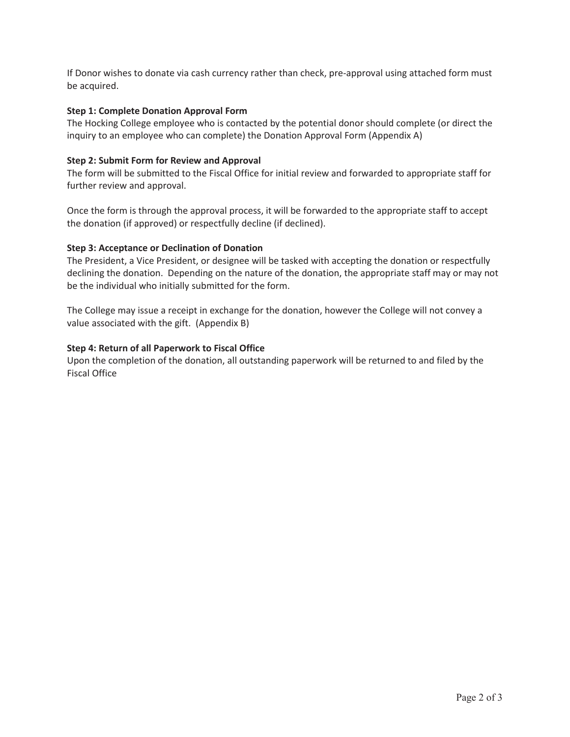If Donor wishes to donate via cash currency rather than check, pre-approval using attached form must be acquired.

### **Step 1: Complete Donation Approval Form**

The Hocking College employee who is contacted by the potential donor should complete (or direct the inquiry to an employee who can complete) the Donation Approval Form (Appendix A)

### **Step 2: Submit Form for Review and Approval**

The form will be submitted to the Fiscal Office for initial review and forwarded to appropriate staff for further review and approval.

Once the form is through the approval process, it will be forwarded to the appropriate staff to accept the donation (if approved) or respectfully decline (if declined).

### **Step 3: Acceptance or Declination of Donation**

The President, a Vice President, or designee will be tasked with accepting the donation or respectfully declining the donation. Depending on the nature of the donation, the appropriate staff may or may not be the individual who initially submitted for the form.

The College may issue a receipt in exchange for the donation, however the College will not convey a value associated with the gift. (Appendix B)

### **Step 4: Return of all Paperwork to Fiscal Office**

Upon the completion of the donation, all outstanding paperwork will be returned to and filed by the Fiscal Office